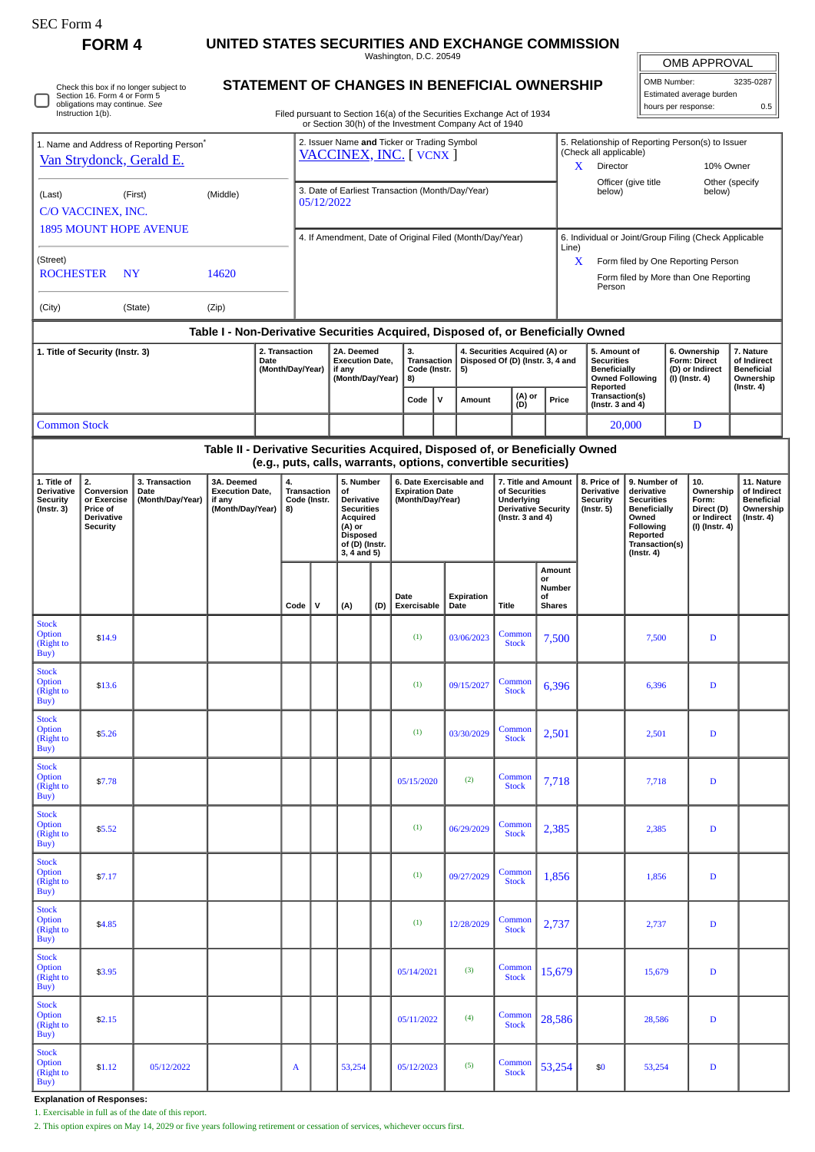**FORM 4 UNITED STATES SECURITIES AND EXCHANGE COMMISSION**

OMB APPROVAL

| OMB Number:              | 3235-0287 |  |
|--------------------------|-----------|--|
| Estimated average burden |           |  |
| hours per response:      | 0.5       |  |

**7. Nature of Indirect Beneficial Ownership (Instr. 4)**

> **11. Nature of Indirect Beneficial Ownership (Instr. 4)**

Washington, D.C. 20549 **STATEMENT OF CHANGES IN BENEFICIAL OWNERSHIP** Filed pursuant to Section 16(a) of the Securities Exchange Act of 1934 or Section 30(h) of the Investment Company Act of 1940 Check this box if no longer subject to Section 16. Form 4 or Form 5 obligations may continue. *See* Instruction 1(b) 1. Name and Address of Reporting Person<sup>\*</sup> [Van Strydonck, Gerald E.](http://www.sec.gov/cgi-bin/browse-edgar?action=getcompany&CIK=0001748247) (Last) (First) (Middle) C/O VACCINEX, INC. 1895 MOUNT HOPE AVENUE (Street) ROCHESTER NY 14620 (City) (State) (Zip) 2. Issuer Name **and** Ticker or Trading Symbol [VACCINEX, INC.](http://www.sec.gov/cgi-bin/browse-edgar?action=getcompany&CIK=0001205922) [ VCNX ] 5. Relationship of Reporting Person(s) to Issuer (Check all applicable) X Director 10% Owner Officer (give title below) Other (specify<br>below) 3. Date of Earliest Transaction (Month/Day/Year) 05/12/2022 4. If Amendment, Date of Original Filed (Month/Day/Year) 6. Individual or Joint/Group Filing (Check Applicable Line) X Form filed by One Reporting Person Form filed by More than One Reporting Person **Table I - Non-Derivative Securities Acquired, Disposed of, or Beneficially Owned 1. Title of Security (Instr. 3) 2. Transaction Date (Month/Day/Year) 2A. Deemed Execution Date, if any (Month/Day/Year) 3. Transaction Code (Instr. 8) 4. Securities Acquired (A) or Disposed Of (D) (Instr. 3, 4 and 5) 5. Amount of Securities Beneficially Owned Following Reported Transaction(s) (Instr. 3 and 4) 6. Ownership Form: Direct (D) or Indirect (I) (Instr. 4)**  $\begin{bmatrix} \nabla \cdot \mathbf{C} & \nabla \cdot \mathbf{C} \\ \nabla \cdot \mathbf{C} & \nabla \cdot \mathbf{C} \nabla \cdot \mathbf{C} \nabla \cdot \mathbf{C} \nabla \cdot \mathbf{C} \nabla \cdot \mathbf{C} \nabla \cdot \mathbf{C} \nabla \cdot \mathbf{C} \nabla \cdot \mathbf{C} \nabla \cdot \mathbf{C} \nabla \cdot \mathbf{C} \nabla \cdot \mathbf{C} \nabla \cdot \mathbf{C} \nabla \cdot \mathbf{C} \nabla \cdot \mathbf{C} \nabla \cdot \$ Common Stock 20,000 D **Table II - Derivative Securities Acquired, Disposed of, or Beneficially Owned (e.g., puts, calls, warrants, options, convertible securities) 1. Title of Derivative Security (Instr. 3) 2. Conversion or Exercise Price of Derivative Security 3. Transaction Date (Month/Day/Year) 3A. Deemed Execution Date, if any (Month/Day/Year) 4. Transaction Code (Instr. 8) 5. Number of Derivative Securities Acquired (A) or Disposed of (D) (Instr. 3, 4 and 5) 6. Date Exercisable and Expiration Date (Month/Day/Year) 7. Title and Amount of Securities Underlying Derivative Security (Instr. 3 and 4) 8. Price of Derivative Security (Instr. 5) 9. Number of derivative Securities Beneficially Owned Following Reported Transaction(s) (Instr. 4) 10. Ownership Form: Direct (D) or Indirect (I) (Instr. 4) Code V (A) (D) Date Exercisable Expiration Date Title Amount or Number of Shares** (Right to \$14.9 (1) 03/06/2023 Common  $Stock$  7,500 7,500 D (Right to \$13.6 (1) 09/15/2027 Common common contract to  $\frac{1}{2}$  (1) 09/15/2027 Common contract of  $\frac{1}{2}$  $\begin{array}{|c|c|c|c|c|c|c|c|c|} \hline \text{ommon} & 6,396 & \text{D} \end{array}$ (Right to  $\text{35.26}$  Common  $(1)$  03/30/2029 Common  $(3)$  $Stock$  2,501 2,501 D (Right to  $\int$  57.78 (2) Common  $\int$  1 (3)  $\int$  05/15/2020 (2) Common  $\int$  Common  $\int$  Common  $\int$  Common  $\int$  Common  $\int$  Common  $\int$  Common  $\int$  Common  $\int$  Common  $\int$  Common  $\int$  Common  $\int$  Common  $\int$  Common  $\int$  Common  $\int$   $Stock$  7,718 D<br>Stock  $\overline{)7,718}$  D Option (Right to \$5.52 (1) 06/29/2029 Common  $Stock$  2,385 D<br>Stock 2,385 D (Right to \$7.17 (1) 09/27/2029 Common  $\begin{array}{|c|c|c|c|c|c|c|c|c|} \hline \text{ommon}&1,856 &1,856 &\text{D} \ \hline \text{Stock} &1,856 &1,856 &\text{D} \ \hline \end{array}$ (Right to \$4.85 (200 mm n  $(1)$  12/28/2029 Common  $(1)$  12/28/2029 Common  $(1)$  $Stock$  2,737 2,737 D (Right to  $\bullet$  3.95  $\bullet$  Common  $\bullet$  1  $\bullet$  1  $\bullet$  5/14/2021 (3) Common  $\bullet$  $\begin{array}{|c|c|c|c|c|c|}\n\hline \text{Common} & 15,679 & & 15,679 & & D \\
\hline \end{array}$ (Right to  $\bullet$  52.15 (4) Common contract to  $\bullet$  05/11/2022 (4) Common contract to  $\bullet$  $\begin{array}{|c|c|c|c|c|c|c|c|} \hline \text{ommon}&28,586 &\text{D} \end{array}$ Option (Right to \$1.12 05/12/2022 A 53,254 05/12/2023 (5) Common  $\begin{array}{|c|c|c|c|c|c|} \hline \text{Common} & 53,254 & $50 & $53,254 & $D$ \ \hline \end{array}$ 

**Explanation of Responses:**

Stock **Option** 

Buy)

**Stock Option** 

 $\overline{Buv}$ 

Stock Option

 $\mathbf{Buy}$ 

**Stock Option** 

 $Buy$ 

Stock

Buy)

Stock **Option** 

 $\overrightarrow{Buv}$ 

Stock **Option** 

 $Buv$ 

Stock **Option** 

 $\frac{1}{\text{Buy}}$ 

Stock **Option** 

Buy)

Stock

 $\overrightarrow{Buy}$ 

1. Exercisable in full as of the date of this report.

2. This option expires on May 14, 2029 or five years following retirement or cessation of services, whichever occurs first.